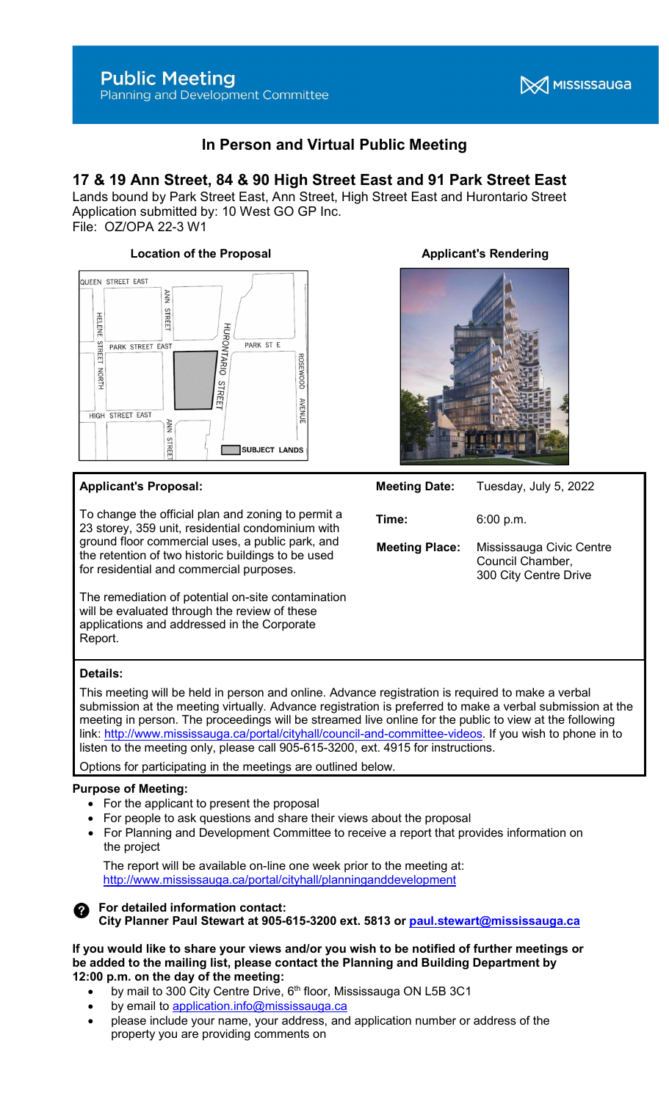

# In Person and Virtual Public Meeting

# 17 & 19 Ann Street, 84 & 90 High Street East and 91 Park Street East

Lands bound by Park Street East, Ann Street, High Street East and Hurontario Street Application submitted by: 10 West GO GP Inc.

File: OZ/OPA 22-3 W1



# Applicant's Proposal:

To change the official plan and zoning to permit a 23 storey, 359 unit, residential condominium with ground floor commercial uses, a public park, and the retention of two historic buildings to be used for residential and commercial purposes.

The remediation of potential on-site contamination will be evaluated through the review of these applications and addressed in the Corporate Report.

# Location of the Proposal **Applicant's Rendering**



# Meeting Date: Tuesday, July 5, 2022

Time: 6:00 p.m. **Meeting Place:** Mississauga Civic Centre Council Chamber, 300 City Centre Drive

# Details:

This meeting will be held in person and online. Advance registration is required to make a verbal submission at the meeting virtually. Advance registration is preferred to make a verbal submission at the meeting in person. The proceedings will be streamed live online for the public to view at the following link: http://www.mississauga.ca/portal/cityhall/council-and-committee-videos. If you wish to phone in to listen to the meeting only, please call 905-615-3200, ext. 4915 for instructions.

Options for participating in the meetings are outlined below.

# Purpose of Meeting:

- For the applicant to present the proposal
- For people to ask questions and share their views about the proposal
- For Planning and Development Committee to receive a report that provides information on the project

 The report will be available on-line one week prior to the meeting at: http://www.mississauga.ca/portal/cityhall/planninganddevelopment

#### For detailed information contact: Ø. City Planner Paul Stewart at 905-615-3200 ext. 5813 or paul.stewart@mississauga.ca

#### If you would like to share your views and/or you wish to be notified of further meetings or be added to the mailing list, please contact the Planning and Building Department by 12:00 p.m. on the day of the meeting:

- by mail to 300 City Centre Drive, 6<sup>th</sup> floor, Mississauga ON L5B 3C1
- by email to application.info@mississauga.ca
- please include your name, your address, and application number or address of the property you are providing comments on